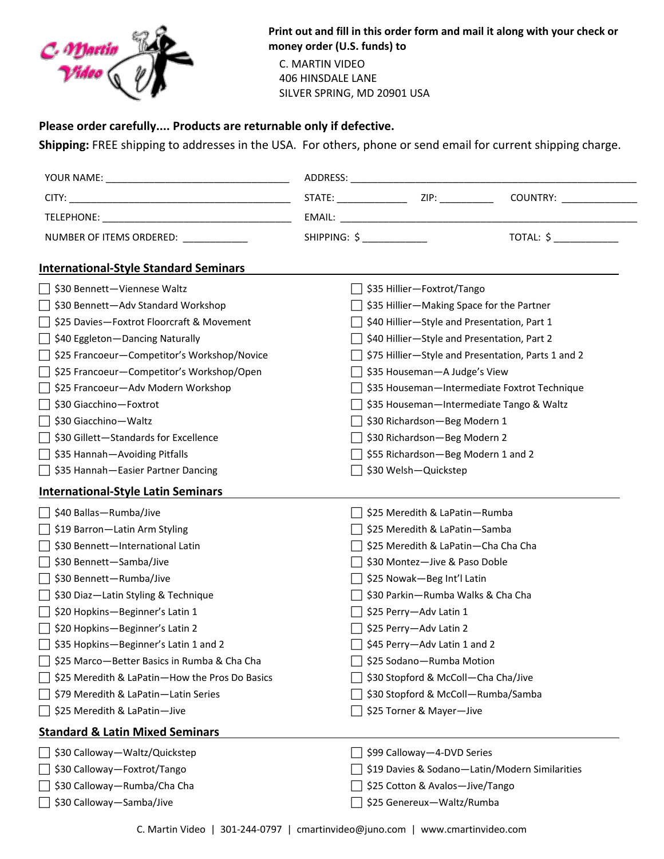

**Print out and fill in this order form and mail it along with your check or money order (U.S. funds) to** 

 C. MARTIN VIDEO 406 HINSDALE LANE SILVER SPRING, MD 20901 USA

## **Please order carefully.... Products are returnable only if defective.**

**Shipping:** FREE shipping to addresses in the USA. For others, phone or send email for current shipping charge.

| NUMBER OF ITEMS ORDERED: _____________         | SHIPPING: \$                                       |                                                | TOTAL: \$ |
|------------------------------------------------|----------------------------------------------------|------------------------------------------------|-----------|
| <b>International-Style Standard Seminars</b>   |                                                    |                                                |           |
| \$30 Bennett-Viennese Waltz                    |                                                    | \$35 Hillier-Foxtrot/Tango                     |           |
| ◯ \$30 Bennett-Adv Standard Workshop           | \$35 Hillier-Making Space for the Partner          |                                                |           |
| \$25 Davies-Foxtrot Floorcraft & Movement      | \$40 Hillier-Style and Presentation, Part 1        |                                                |           |
| \$40 Eggleton - Dancing Naturally              | \$40 Hillier-Style and Presentation, Part 2        |                                                |           |
| □ \$25 Francoeur-Competitor's Workshop/Novice  | \$75 Hillier-Style and Presentation, Parts 1 and 2 |                                                |           |
| □ \$25 Francoeur – Competitor's Workshop/Open  | \$35 Houseman-A Judge's View                       |                                                |           |
| □ \$25 Francoeur-Adv Modern Workshop           | \$35 Houseman-Intermediate Foxtrot Technique       |                                                |           |
| \$30 Giacchino-Foxtrot                         | \$35 Houseman-Intermediate Tango & Waltz           |                                                |           |
| \$30 Giacchino-Waltz                           | \$30 Richardson-Beg Modern 1                       |                                                |           |
| \$30 Gillett-Standards for Excellence          | \$30 Richardson-Beg Modern 2                       |                                                |           |
| ◯ \$35 Hannah—Avoiding Pitfalls                | \$55 Richardson-Beg Modern 1 and 2                 |                                                |           |
| □ \$35 Hannah-Easier Partner Dancing           |                                                    | \$30 Welsh-Quickstep                           |           |
| <b>International-Style Latin Seminars</b>      |                                                    |                                                |           |
| \$40 Ballas-Rumba/Jive                         |                                                    | \$25 Meredith & LaPatin-Rumba                  |           |
| ◯ \$19 Barron—Latin Arm Styling                |                                                    | \$25 Meredith & LaPatin-Samba                  |           |
| \$30 Bennett-International Latin               | \$25 Meredith & LaPatin-Cha Cha Cha                |                                                |           |
| ○ \$30 Bennett-Samba/Jive                      | \$30 Montez-Jive & Paso Doble                      |                                                |           |
| □ \$30 Bennett—Rumba/Jive                      | \$25 Nowak-Beg Int'l Latin                         |                                                |           |
| □ \$30 Diaz-Latin Styling & Technique          | \$30 Parkin-Rumba Walks & Cha Cha                  |                                                |           |
| ◯ \$20 Hopkins-Beginner's Latin 1              |                                                    | \$25 Perry-Adv Latin 1                         |           |
| □ \$20 Hopkins-Beginner's Latin 2              | \$25 Perry-Adv Latin 2                             |                                                |           |
| $\Box$ \$35 Hopkins-Beginner's Latin 1 and 2   |                                                    | \$45 Perry-Adv Latin 1 and 2                   |           |
| \$25 Marco-Better Basics in Rumba & Cha Cha    | \$25 Sodano-Rumba Motion                           |                                                |           |
| \$25 Meredith & LaPatin-How the Pros Do Basics | \$30 Stopford & McColl-Cha Cha/Jive                |                                                |           |
| \$79 Meredith & LaPatin-Latin Series           | \$30 Stopford & McColl-Rumba/Samba                 |                                                |           |
| \$25 Meredith & LaPatin-Jive                   |                                                    | \$25 Torner & Mayer-Jive                       |           |
| <b>Standard &amp; Latin Mixed Seminars</b>     |                                                    |                                                |           |
| \$30 Calloway-Waltz/Quickstep                  |                                                    | \$99 Calloway-4-DVD Series                     |           |
| \$30 Calloway-Foxtrot/Tango                    |                                                    | \$19 Davies & Sodano-Latin/Modern Similarities |           |
| \$30 Calloway-Rumba/Cha Cha                    |                                                    | \$25 Cotton & Avalos-Jive/Tango                |           |
| \$30 Calloway-Samba/Jive                       |                                                    | \$25 Genereux-Waltz/Rumba                      |           |
|                                                |                                                    |                                                |           |

C. Martin Video | 301-244-0797 | cmartinvideo@juno.com | www.cmartinvideo.com